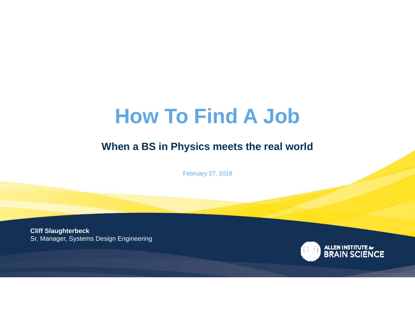# **How To Find A Job**

#### **When a BS in Physics meets the real world**

February 27, 2018

**Cliff Slaughterbeck** Sr. Manager, Systems Design Engineering

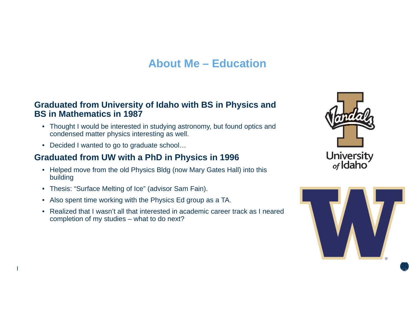### **About Me – Education**

#### **Graduated from University of Idaho with BS in Physics and BS in Mathematics in 1987**

- Thought I would be interested in studying astronomy, but found optics and condensed matter physics interesting as well.
- Decided I wanted to go to graduate school…

#### **Graduated from UW with a PhD in Physics in 1996**

- Helped move from the old Physics Bldg (now Mary Gates Hall) into this building
- Thesis: "Surface Melting of Ice" (advisor Sam Fain).
- Also spent time working with the Physics Ed group as a TA.
- Realized that I wasn't all that interested in academic career track as I neared completion of my studies – what to do next?



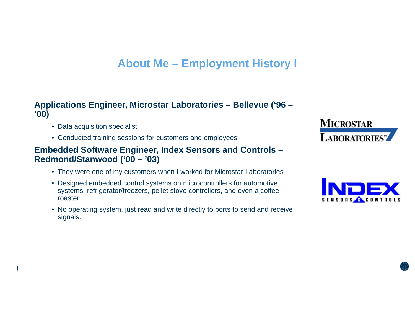### **About Me – Employment History I**

#### **Applications Engineer, Microstar Laboratories – Bellevue ('96 – '00)**

- Data acquisition specialist
- Conducted training sessions for customers and employees

#### **Embedded Software Engineer, Index Sensors and Controls – Redmond/Stanwood ('00 – '03)**

- They were one of my customers when I worked for Microstar Laboratories
- Designed embedded control systems on microcontrollers for automotive systems, refrigerator/freezers, pellet stove controllers, and even a coffee roaster.
- No operating system, just read and write directly to ports to send and receive signals.



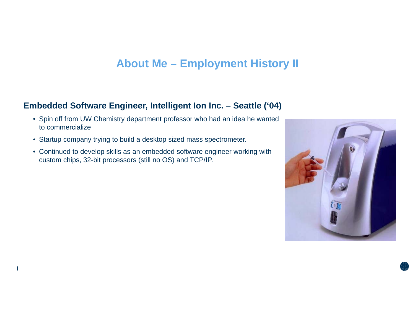#### **About Me – Employment History II**

#### **Embedded Software Engineer, Intelligent Ion Inc. – Seattle ('04)**

- Spin off from UW Chemistry department professor who had an idea he wanted to commercialize
- Startup company trying to build a desktop sized mass spectrometer.
- Continued to develop skills as an embedded software engineer working with custom chips, 32-bit processors (still no OS) and TCP/IP.

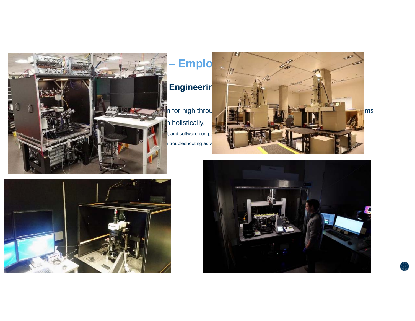





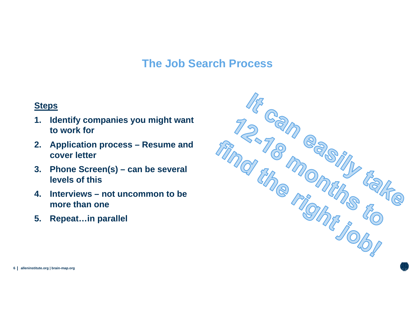### **The Job Search Process**

#### **Steps**

- **1. Identify companies you might want to work for**
- **2. Application process – Resume and cover letter**
- **3. Phone Screen(s) – can be several levels of this**
- **4. Interviews – not uncommon to be more than one**
- **5. Repeat…in parallel**



**| 6 alleninstitute.org | brain-map.org**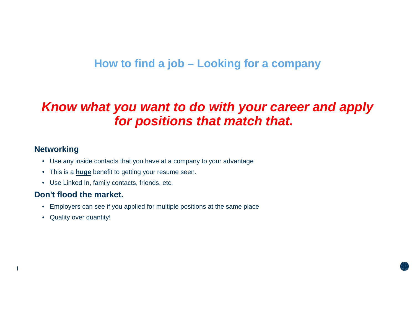### **How to find a job – Looking for a company**

## *Know what you want to do with your career and apply for positions that match that.*

#### **Networking**

- Use any inside contacts that you have at a company to your advantage
- This is a **huge** benefit to getting your resume seen.
- Use Linked In, family contacts, friends, etc.

#### **Don't flood the market.**

- Employers can see if you applied for multiple positions at the same place
- Quality over quantity!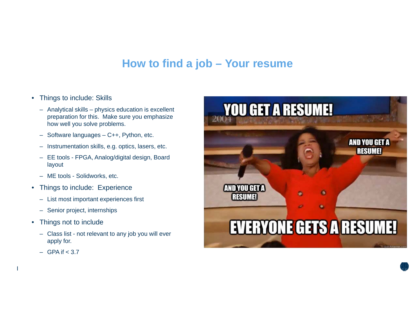#### **How to find a job – Your resume**

- $\bullet$  Things to include: Skills
	- Analytical skills physics education is excellent preparation for this. Make sure you emphasize how well you solve problems.
	- Software languages C++, Python, etc.
	- Instrumentation skills, e.g. optics, lasers, etc.
	- EE tools FPGA, Analog/digital design, Board layout
	- ME tools Solidworks, etc.
- $\bullet$  Things to include: Experience
	- List most important experiences first
	- Senior project, internships
- $\bullet$  Things not to include
	- Class list not relevant to any job you will ever apply for.
	- GPA if < 3.7

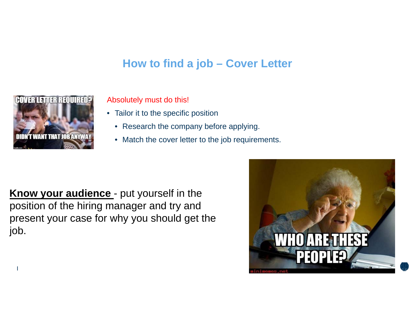### **How to find a job – Cover Letter**



Absolutely must do this!

- Tailor it to the specific position
	- Research the company before applying.
	- Match the cover letter to the job requirements.

**Know your audience** - put yourself in the position of the hiring manager and try and present your case for why you should get the job.

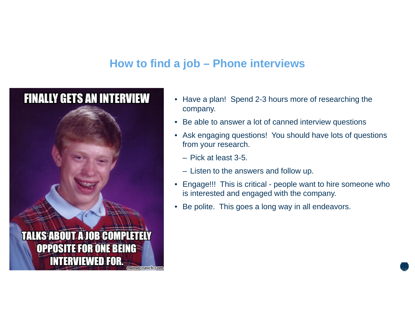### **How to find a job – Phone interviews**



- $\bullet$  Have a plan! Spend 2-3 hours more of researching the company.
- •Be able to answer a lot of canned interview questions
- Ask engaging questions! You should have lots of questions from your research.
	- Pick at least 3-5.
	- Listen to the answers and follow up.
- $\bullet$  Engage!!! This is critical - people want to hire someone who is interested and engaged with the company.
- •Be polite. This goes a long way in all endeavors.